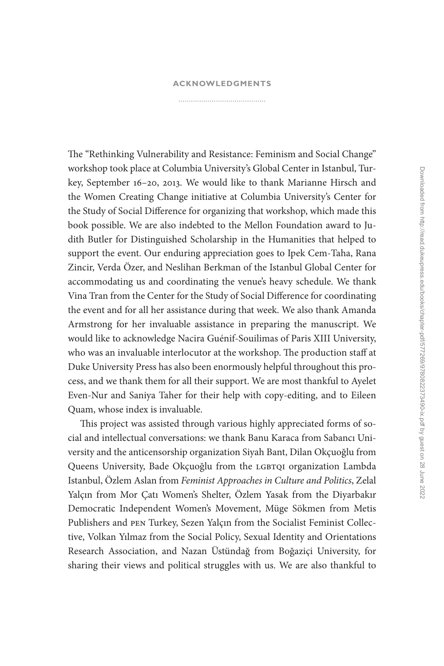## **[ACKNOWLEDGMENTS](#page--1-0)**

The "Rethinking Vulnerability and Resistance: Feminism and Social Change" workshop took place at Columbia University's Global Center in Istanbul, Turkey, September 16–20, 2013. We would like to thank Marianne Hirsch and the Women Creating Change initiative at Columbia University's Center for the Study of Social Difference for organizing that workshop, which made this book possible. We are also indebted to the Mellon Foundation award to Judith Butler for Distinguished Scholarship in the Humanities that helped to support the event. Our enduring appreciation goes to Ipek Cem-Taha, Rana Zincir, Verda Özer, and Neslihan Berkman of the Istanbul Global Center for accommodating us and coordinating the venue's heavy schedule. We thank Vina Tran from the Center for the Study of Social Difference for coordinating the event and for all her assistance during that week. We also thank Amanda Armstrong for her invaluable assistance in preparing the manuscript. We would like to acknowledge Nacira Guénif-Souilimas of Paris XIII University, who was an invaluable interlocutor at the workshop. The production staff at Duke University Press has also been enormously helpful throughout this process, and we thank them for all their support. We are most thankful to Ayelet Even-Nur and Saniya Taher for their help with copy-editing, and to Eileen Quam, whose index is invaluable.

This project was assisted through various highly appreciated forms of social and intellectual conversations: we thank Banu Karaca from Sabancı University and the anticensorship organization Siyah Bant, Dilan Okçuoğlu from Queens University, Bade Okçuoğlu from the LGBTQI organization Lambda Istanbul, Özlem Aslan from *Feminist Approaches in Culture and Politics*, Zelal Yalçın from Mor Çatı Women's Shelter, Özlem Yasak from the Diyarbakır Democratic Independent Women's Movement, Müge Sökmen from Metis Publishers and pen Turkey, Sezen Yalçın from the Socialist Feminist Collective, Volkan Yılmaz from the Social Policy, Sexual Identity and Orientations Research Association, and Nazan Üstündağ from Boğaziçi University, for sharing their views and political struggles with us. We are also thankful to